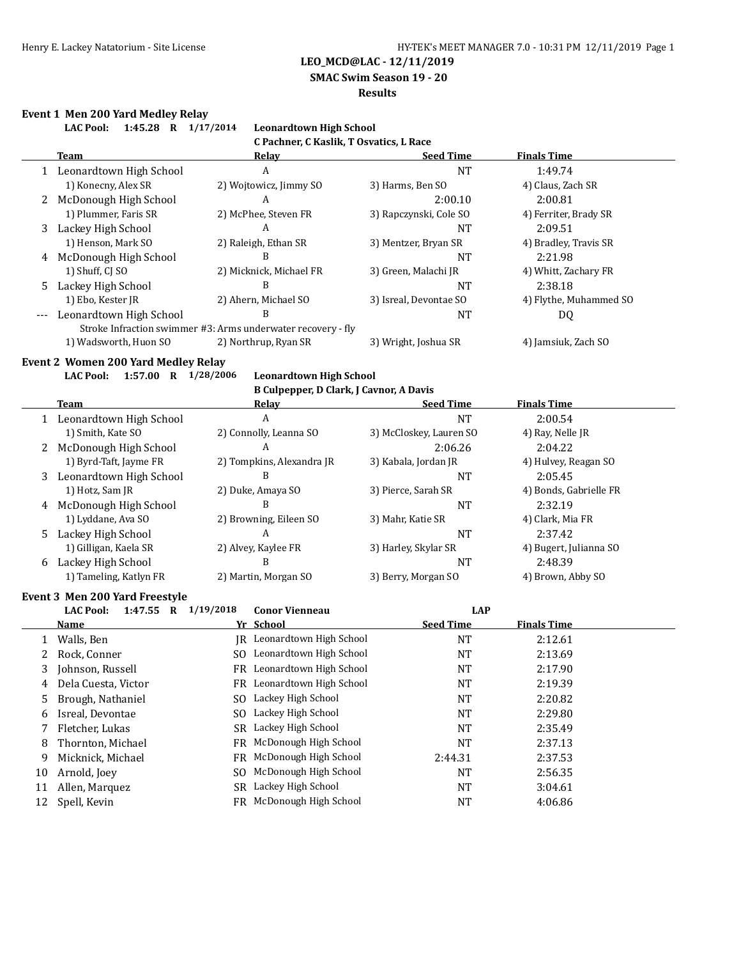**SMAC Swim Season 19 - 20**

#### **Results**

#### **Event 1 Men 200 Yard Medley Relay**

**LAC Pool: 1:45.28 R 1/17/2014 Leonardtown High School C Pachner, C Kaslik, T Osvatics, L Race Team Relay Seed Time Finals Time** 1 Leonardtown High School A A NT 1:49.74 1) Konecny, Alex SR 2) Wojtowicz, Jimmy SO 3) Harms, Ben SO 4) Claus, Zach SR 2 McDonough High School A 2:00.10 2:00.81 1) Plummer, Faris SR 2) McPhee, Steven FR 3) Rapczynski, Cole SO 4) Ferriter, Brady SR 3 Lackey High School A A NT 2:09.51 1) Henson, Mark SO 2) Raleigh, Ethan SR 3) Mentzer, Bryan SR 4) Bradley, Travis SR 4 McDonough High School B B NT 2:21.98 1) Shuff, CJ SO 2) Micknick, Michael FR 3) Green, Malachi JR 4) Whitt, Zachary FR 5 Lackey High School B B NT 2:38.18 1) Ebo, Kester JR 2) Ahern, Michael SO 3) Isreal, Devontae SO 4) Flythe, Muhammed SO --- Leonardtown High School B NT B DQ Stroke Infraction swimmer #3: Arms underwater recovery - fly 1) Wadsworth, Huon SO 2) Northrup, Ryan SR 3) Wright, Joshua SR 4) Jamsiuk, Zach SO **Event 2 Women 200 Yard Medley Relay LAC Pool: 1:57.00 R 1/28/2006 Leonardtown High School B Culpepper, D Clark, J Cavnor, A Davis Team Relay Seed Time Finals Time** 1 Leonardtown High School A A NT 2:00.54 1) Smith, Kate SO 2) Connolly, Leanna SO 3) McCloskey, Lauren SO 4) Ray, Nelle JR 2 McDonough High School A 2:06.26 2:04.22 1) Byrd-Taft, Jayme FR 2) Tompkins, Alexandra JR 3) Kabala, Jordan JR 4) Hulvey, Reagan SO 3 Leonardtown High School B B NT 2:05.45 1) Hotz, Sam JR 2) Duke, Amaya SO 3) Pierce, Sarah SR 4) Bonds, Gabrielle FR 4 McDonough High School B B NT 2:32.19 1) Lyddane, Ava SO 2) Browning, Eileen SO 3) Mahr, Katie SR 4) Clark, Mia FR 5 Lackey High School A NT 2:37.42 1) Gilligan, Kaela SR 2) Alvey, Kaylee FR 3) Harley, Skylar SR 4) Bugert, Julianna SO 6 Lackey High School B B NT 2:48.39 1) Tameling, Katlyn FR 2) Martin, Morgan SO 3) Berry, Morgan SO 4) Brown, Abby SO **Event 3 Men 200 Yard Freestyle LAC Pool: 1:47.55 R 1/19/2018 Conor Vienneau LAP Name Yr School Seed Time Finals Time** 1 Walls, Ben 1988 IR Leonardtown High School NT 2:12.61 2 Rock, Conner SO Leonardtown High School NT 2:13.69 3 Johnson, Russell FR Leonardtown High School NT 2:17.90 4 Dela Cuesta, Victor FR Leonardtown High School NT 2:19.39 5 Brough, Nathaniel SO Lackey High School NT 2:20.82 6 Isreal, Devontae SO Lackey High School NT 2:29.80 7 Fletcher, Lukas SR Lackey High School NT 2:35.49

8 Thornton, Michael FR McDonough High School NT 2:37.13 9 Micknick, Michael FR McDonough High School 2:44.31 2:37.53 10 Arnold, Joey SO McDonough High School NT 2:56.35 11 Allen, Marquez SR Lackey High School NT 3:04.61 12 Spell, Kevin **FR** McDonough High School **NT** 4:06.86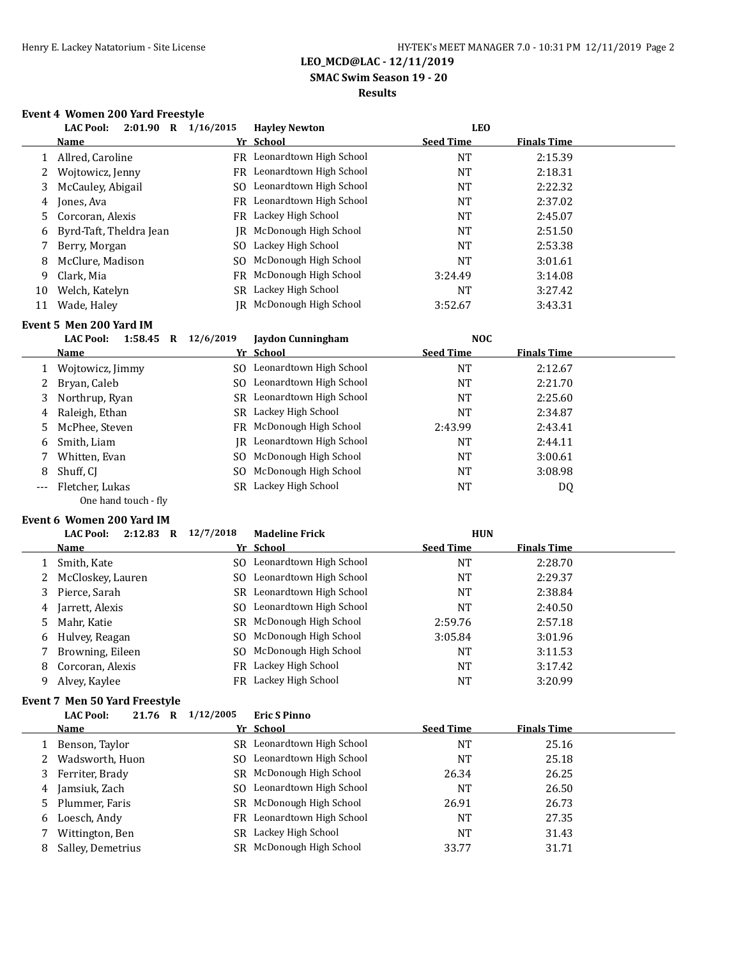### **SMAC Swim Season 19 - 20**

## **Results**

### **Event 4 Women 200 Yard Freestyle**

|    | <b>LAC Pool:</b><br>2:01.90<br>R | 1/16/2015 | <b>Havley Newton</b>       | <b>LEO</b>       |                    |
|----|----------------------------------|-----------|----------------------------|------------------|--------------------|
|    | <b>Name</b>                      |           | Yr School                  | <b>Seed Time</b> | <b>Finals Time</b> |
|    | Allred, Caroline                 |           | FR Leonardtown High School | NT               | 2:15.39            |
| 2  | Wojtowicz, Jenny                 | FR        | Leonardtown High School    | NT               | 2:18.31            |
| 3  | McCauley, Abigail                |           | SO Leonardtown High School | NT               | 2:22.32            |
| 4  | Jones, Ava                       | FR        | Leonardtown High School    | NT               | 2:37.02            |
| 5. | Corcoran, Alexis                 |           | FR Lackey High School      | NT               | 2:45.07            |
| 6  | Byrd-Taft, Theldra Jean          | IR        | McDonough High School      | NT               | 2:51.50            |
|    | Berry, Morgan                    |           | SO Lackey High School      | NT               | 2:53.38            |
| 8  | McClure, Madison                 | SO.       | McDonough High School      | NT               | 3:01.61            |
| 9  | Clark, Mia                       | FR.       | McDonough High School      | 3:24.49          | 3:14.08            |
| 10 | Welch, Katelyn                   | SR.       | Lackey High School         | NT               | 3:27.42            |
| 11 | Wade, Haley                      | IR        | McDonough High School      | 3:52.67          | 3:43.31            |

#### **Event 5 Men 200 Yard IM**

|       | 1:58.45<br><b>LAC Pool:</b><br>R | 12/6/2019 | Jaydon Cunningham                 | <b>NOC</b>       |                    |  |
|-------|----------------------------------|-----------|-----------------------------------|------------------|--------------------|--|
|       | Name                             |           | Yr School                         | <b>Seed Time</b> | <b>Finals Time</b> |  |
|       | 1 Wojtowicz, Jimmy               | SO.       | Leonardtown High School           | NT               | 2:12.67            |  |
| 2     | Bryan, Caleb                     |           | SO Leonardtown High School        | NT               | 2:21.70            |  |
| 3     | Northrup, Ryan                   |           | SR Leonardtown High School        | NT               | 2:25.60            |  |
| 4     | Raleigh, Ethan                   |           | SR Lackey High School             | <b>NT</b>        | 2:34.87            |  |
| 5     | McPhee, Steven                   |           | FR McDonough High School          | 2:43.99          | 2:43.41            |  |
| 6     | Smith, Liam                      |           | <b>IR</b> Leonardtown High School | NT               | 2:44.11            |  |
|       | Whitten, Evan                    | SO.       | McDonough High School             | <b>NT</b>        | 3:00.61            |  |
| 8     | Shuff, CI                        | SO.       | McDonough High School             | NT               | 3:08.98            |  |
| $---$ | Fletcher, Lukas                  |           | SR Lackey High School             | NT               | DQ                 |  |
|       | One hand touch - fly             |           |                                   |                  |                    |  |

### **Event 6 Women 200 Yard IM**

|   | <b>LAC Pool:</b><br>2:12.83<br>R | 12/7/2018<br><b>Madeline Frick</b> | <b>HUN</b>                             |  |
|---|----------------------------------|------------------------------------|----------------------------------------|--|
|   | <b>Name</b>                      | Yr School                          | <b>Seed Time</b><br><b>Finals Time</b> |  |
|   | Smith, Kate                      | Leonardtown High School<br>SO.     | <b>NT</b><br>2:28.70                   |  |
|   | 2 McCloskey, Lauren              | SO Leonardtown High School         | 2:29.37<br>NT                          |  |
|   | 3 Pierce, Sarah                  | Leonardtown High School<br>SR      | 2:38.84<br><b>NT</b>                   |  |
| 4 | Jarrett, Alexis                  | SO Leonardtown High School         | <b>NT</b><br>2:40.50                   |  |
| 5 | Mahr, Katie                      | McDonough High School<br>SR        | 2:57.18<br>2:59.76                     |  |
|   | 6 Hulvey, Reagan                 | SO McDonough High School           | 3:05.84<br>3:01.96                     |  |
|   | Browning, Eileen                 | McDonough High School<br>SO.       | <b>NT</b><br>3:11.53                   |  |
| 8 | Corcoran, Alexis                 | FR Lackey High School              | NT<br>3:17.42                          |  |
| 9 | Alvey, Kaylee                    | FR Lackey High School              | <b>NT</b><br>3:20.99                   |  |

#### **Event 7 Men 50 Yard Freestyle**

|    | <b>LAC Pool:</b><br>21.76 R | 1/12/2005 | <b>Eric S Pinno</b>      |                  |                    |  |
|----|-----------------------------|-----------|--------------------------|------------------|--------------------|--|
|    | Name                        |           | Yr School                | <b>Seed Time</b> | <b>Finals Time</b> |  |
|    | Benson, Taylor              | SR.       | Leonardtown High School  | NT               | 25.16              |  |
|    | Wadsworth, Huon             | SO.       | Leonardtown High School  | NT               | 25.18              |  |
| 3  | Ferriter, Brady             |           | SR McDonough High School | 26.34            | 26.25              |  |
| 4  | Jamsiuk, Zach               | SO.       | Leonardtown High School  | <b>NT</b>        | 26.50              |  |
| 5. | Plummer, Faris              |           | SR McDonough High School | 26.91            | 26.73              |  |
| 6  | Loesch, Andy                | FR        | Leonardtown High School  | NT               | 27.35              |  |
|    | Wittington, Ben             | SR        | Lackey High School       | <b>NT</b>        | 31.43              |  |
| 8  | Salley, Demetrius           | SR        | McDonough High School    | 33.77            | 31.71              |  |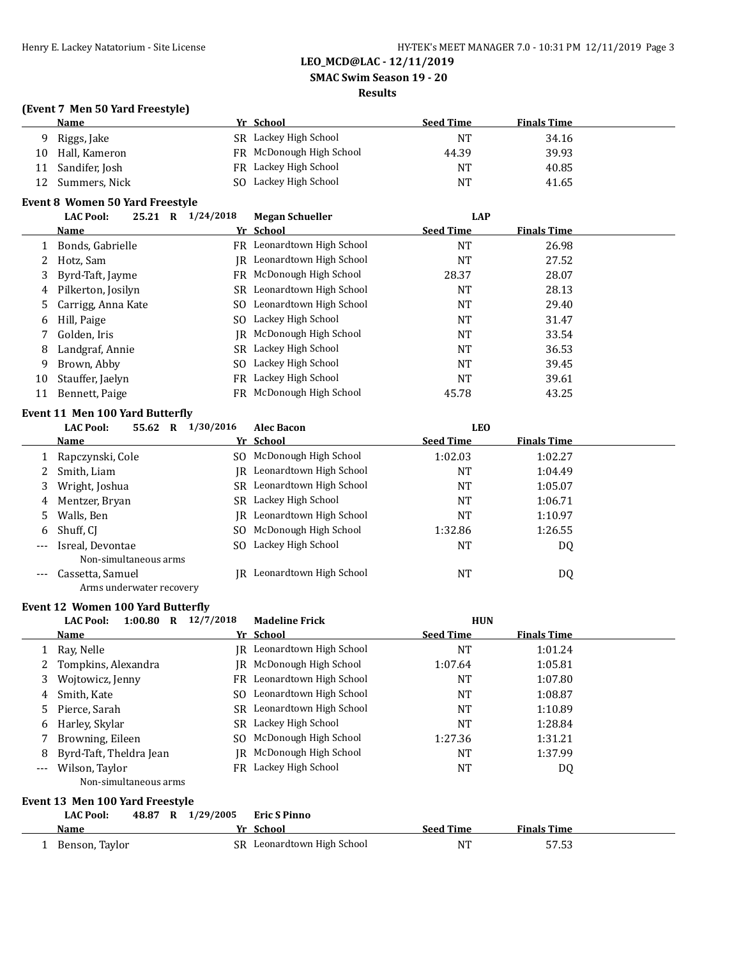**SMAC Swim Season 19 - 20**

### **Results**

## **(Event 7 Men 50 Yard Freestyle)**

|    | <b>Name</b>    | Yr School                | <b>Seed Time</b> | <b>Finals Time</b> |
|----|----------------|--------------------------|------------------|--------------------|
| Q  | Riggs, Jake    | SR Lackey High School    | <b>NT</b>        | 34.16              |
| 10 | Hall, Kameron  | FR McDonough High School | 44.39            | 39.93              |
|    | Sandifer, Josh | FR Lackey High School    | <b>NT</b>        | 40.85              |
|    | Summers, Nick  | SO Lackey High School    | <b>NT</b>        | 41.65              |

## **Event 8 Women 50 Yard Freestyle**

|    | 25.21<br><b>LAC Pool:</b><br>$\mathbf R$ | 1/24/2018 | <b>Megan Schueller</b>     | <b>LAP</b>       |                    |
|----|------------------------------------------|-----------|----------------------------|------------------|--------------------|
|    | Name                                     |           | Yr School                  | <b>Seed Time</b> | <b>Finals Time</b> |
|    | Bonds, Gabrielle                         |           | FR Leonardtown High School | NT               | 26.98              |
|    | Hotz, Sam                                |           | IR Leonardtown High School | NT               | 27.52              |
|    | 3 Byrd-Taft, Jayme                       |           | FR McDonough High School   | 28.37            | 28.07              |
| 4  | Pilkerton, Josilyn                       |           | SR Leonardtown High School | NT               | 28.13              |
|    | 5 Carrigg, Anna Kate                     |           | SO Leonardtown High School | <b>NT</b>        | 29.40              |
| 6  | Hill, Paige                              |           | SO Lackey High School      | NT               | 31.47              |
|    | Golden, Iris                             |           | IR McDonough High School   | NT               | 33.54              |
| 8  | Landgraf, Annie                          |           | SR Lackey High School      | NT               | 36.53              |
| 9  | Brown, Abby                              |           | SO Lackey High School      | <b>NT</b>        | 39.45              |
| 10 | Stauffer, Jaelyn                         | FR        | Lackey High School         | NT               | 39.61              |
| 11 | Bennett, Paige                           |           | FR McDonough High School   | 45.78            | 43.25              |
|    |                                          |           |                            |                  |                    |

### **Event 11 Men 100 Yard Butterfly**

|       | <b>LAC Pool:</b><br>55.62<br>R            | 1/30/2016<br><b>Alec Bacon</b> | <b>LEO</b>       |                    |  |
|-------|-------------------------------------------|--------------------------------|------------------|--------------------|--|
|       | <b>Name</b>                               | Yr School                      | <b>Seed Time</b> | <b>Finals Time</b> |  |
|       | Rapczynski, Cole                          | McDonough High School<br>SO.   | 1:02.03          | 1:02.27            |  |
|       | Smith, Liam                               | JR Leonardtown High School     | <b>NT</b>        | 1:04.49            |  |
| 3     | Wright, Joshua                            | SR Leonardtown High School     | <b>NT</b>        | 1:05.07            |  |
| 4     | Mentzer, Bryan                            | SR Lackey High School          | <b>NT</b>        | 1:06.71            |  |
| 5.    | Walls, Ben                                | Leonardtown High School<br>IR  | <b>NT</b>        | 1:10.97            |  |
| 6     | Shuff, CI                                 | SO McDonough High School       | 1:32.86          | 1:26.55            |  |
| $---$ | Isreal, Devontae<br>Non-simultaneous arms | Lackey High School<br>SO.      | <b>NT</b>        | DQ                 |  |
| ---   | Cassetta, Samuel                          | Leonardtown High School<br>IR. | <b>NT</b>        | DQ                 |  |

Arms underwater recovery

### **Event 12 Women 100 Yard Butterfly**

|          | <b>LAC Pool:</b><br>1:00.80<br>$\mathbf R$ | 12/7/2018 | <b>Madeline Frick</b>      | <b>HUN</b>       |                    |  |
|----------|--------------------------------------------|-----------|----------------------------|------------------|--------------------|--|
|          | Name                                       |           | Yr School                  | <b>Seed Time</b> | <b>Finals Time</b> |  |
|          | Ray, Nelle                                 | IR        | Leonardtown High School    | <b>NT</b>        | 1:01.24            |  |
|          | Tompkins, Alexandra                        | IR        | McDonough High School      | 1:07.64          | 1:05.81            |  |
| 3        | Wojtowicz, Jenny                           | FR.       | Leonardtown High School    | <b>NT</b>        | 1:07.80            |  |
| 4        | Smith, Kate                                | SO.       | Leonardtown High School    | NT               | 1:08.87            |  |
| 5        | Pierce, Sarah                              |           | SR Leonardtown High School | <b>NT</b>        | 1:10.89            |  |
| 6        | Harley, Skylar                             | SR.       | Lackey High School         | NT               | 1:28.84            |  |
|          | Browning, Eileen                           | SO.       | McDonough High School      | 1:27.36          | 1:31.21            |  |
| 8        | Byrd-Taft, Theldra Jean                    | IR        | McDonough High School      | NT               | 1:37.99            |  |
| $\cdots$ | Wilson, Taylor                             | FR.       | Lackey High School         | <b>NT</b>        | DQ                 |  |
|          | Non-simultaneous arms                      |           |                            |                  |                    |  |
|          | Event 13 Men 100 Yard Freestyle            |           |                            |                  |                    |  |
|          | <b>LAC Pool:</b><br>48.87<br>$\mathbf R$   | 1/29/2005 | <b>Eric S Pinno</b>        |                  |                    |  |
|          | Name                                       |           | Yr School                  | <b>Seed Time</b> | <b>Finals Time</b> |  |

| Name              | .  | -scnool                 | seea lime | rinais lime           |
|-------------------|----|-------------------------|-----------|-----------------------|
| Tavlor<br>Benson, | SR | Leonardtown High School | <b>NT</b> | $- - - -$<br>J / .J J |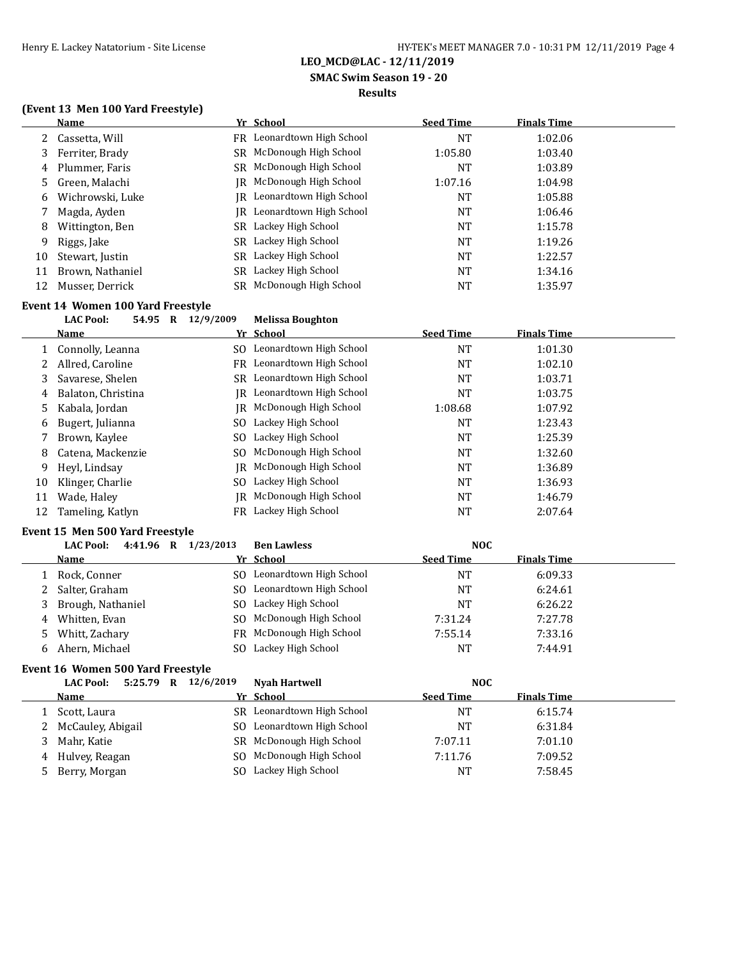**SMAC Swim Season 19 - 20**

### **Results**

## **(Event 13 Men 100 Yard Freestyle)**

|    | Name             |     | Yr School                  | <b>Seed Time</b> | <b>Finals Time</b> |
|----|------------------|-----|----------------------------|------------------|--------------------|
|    | 2 Cassetta, Will |     | FR Leonardtown High School | NT               | 1:02.06            |
| 3  | Ferriter, Brady  |     | SR McDonough High School   | 1:05.80          | 1:03.40            |
| 4  | Plummer, Faris   |     | SR McDonough High School   | NT               | 1:03.89            |
| 5  | Green, Malachi   |     | IR McDonough High School   | 1:07.16          | 1:04.98            |
| 6  | Wichrowski, Luke |     | IR Leonardtown High School | <b>NT</b>        | 1:05.88            |
|    | Magda, Ayden     | IR. | Leonardtown High School    | NT               | 1:06.46            |
| 8  | Wittington, Ben  |     | SR Lackey High School      | NT               | 1:15.78            |
| 9  | Riggs, Jake      |     | SR Lackey High School      | NT               | 1:19.26            |
| 10 | Stewart, Justin  |     | SR Lackey High School      | NT               | 1:22.57            |
| 11 | Brown, Nathaniel |     | SR Lackey High School      | <b>NT</b>        | 1:34.16            |
| 12 | Musser, Derrick  |     | SR McDonough High School   | <b>NT</b>        | 1:35.97            |

## **Event 14 Women 100 Yard Freestyle**

## **LAC Pool: 54.95 R 12/9/2009 Melissa Boughton**

|    | Name               |     | Yr School                         | <b>Seed Time</b> | <b>Finals Time</b> |  |
|----|--------------------|-----|-----------------------------------|------------------|--------------------|--|
|    | 1 Connolly, Leanna |     | SO Leonardtown High School        | <b>NT</b>        | 1:01.30            |  |
|    | Allred, Caroline   |     | FR Leonardtown High School        | NT               | 1:02.10            |  |
| 3  | Savarese, Shelen   |     | SR Leonardtown High School        | NT               | 1:03.71            |  |
| 4  | Balaton, Christina |     | <b>IR</b> Leonardtown High School | <b>NT</b>        | 1:03.75            |  |
| 5. | Kabala, Jordan     |     | IR McDonough High School          | 1:08.68          | 1:07.92            |  |
| 6  | Bugert, Julianna   | SO. | Lackey High School                | <b>NT</b>        | 1:23.43            |  |
|    | Brown, Kaylee      |     | SO Lackey High School             | <b>NT</b>        | 1:25.39            |  |
| 8  | Catena, Mackenzie  |     | SO McDonough High School          | <b>NT</b>        | 1:32.60            |  |
| 9  | Heyl, Lindsay      | IR  | McDonough High School             | <b>NT</b>        | 1:36.89            |  |
| 10 | Klinger, Charlie   |     | SO Lackey High School             | NT               | 1:36.93            |  |
| 11 | Wade, Haley        | IR- | McDonough High School             | NT               | 1:46.79            |  |
| 12 | Tameling, Katlyn   |     | FR Lackey High School             | NT               | 2:07.64            |  |

### **Event 15 Men 500 Yard Freestyle**

|   | 4:41.96 R 1/23/2013<br><b>LAC Pool:</b> |     | <b>Ben Lawless</b>         | <b>NOC</b>       |                    |
|---|-----------------------------------------|-----|----------------------------|------------------|--------------------|
|   | Name                                    |     | Yr School                  | <b>Seed Time</b> | <b>Finals Time</b> |
|   | Rock, Conner                            |     | SO Leonardtown High School | <b>NT</b>        | 6:09.33            |
|   | Salter, Graham                          |     | SO Leonardtown High School | <b>NT</b>        | 6:24.61            |
|   | Brough, Nathaniel                       |     | SO Lackey High School      | NT               | 6:26.22            |
| 4 | Whitten, Evan                           |     | SO McDonough High School   | 7:31.24          | 7:27.78            |
| 5 | Whitt, Zachary                          |     | FR McDonough High School   | 7:55.14          | 7:33.16            |
|   | Ahern, Michael                          | SO. | Lackey High School         | <b>NT</b>        | 7:44.91            |

## **Event 16 Women 500 Yard Freestyle**

|   | 5:25.79 R<br><b>LAC Pool:</b> | 12/6/2019 | <b>Nyah Hartwell</b>     | <b>NOC</b>       |                    |
|---|-------------------------------|-----------|--------------------------|------------------|--------------------|
|   | Name                          |           | Yr School                | <b>Seed Time</b> | <b>Finals Time</b> |
|   | Scott, Laura                  | SR.       | Leonardtown High School  | NΤ               | 6:15.74            |
|   | 2 McCauley, Abigail           | SO.       | Leonardtown High School  | <b>NT</b>        | 6:31.84            |
| 3 | Mahr. Katie                   |           | SR McDonough High School | 7:07.11          | 7:01.10            |
|   | 4 Hulvey, Reagan              |           | SO McDonough High School | 7:11.76          | 7:09.52            |
|   | 5 Berry, Morgan               | SO.       | Lackey High School       | <b>NT</b>        | 7:58.45            |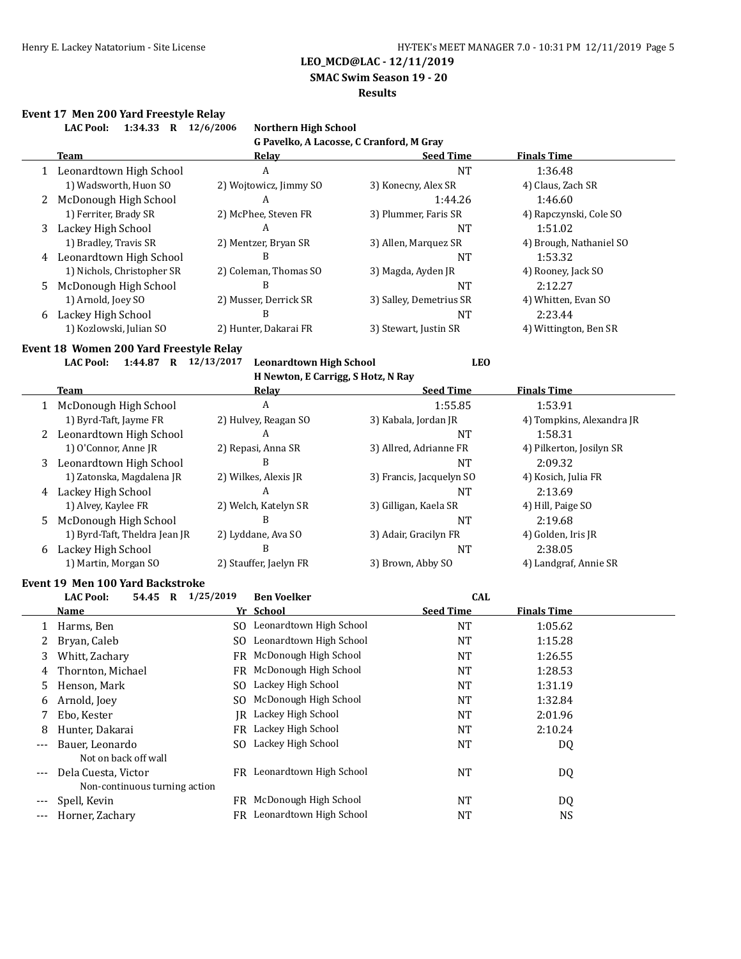**SMAC Swim Season 19 - 20**

#### **Results**

#### **Event 17 Men 200 Yard Freestyle Relay**

|       | 1:34.33 R 12/6/2006<br><b>LAC Pool:</b> | <b>Northern High School</b>              |                          |                           |
|-------|-----------------------------------------|------------------------------------------|--------------------------|---------------------------|
|       |                                         | G Pavelko, A Lacosse, C Cranford, M Gray |                          |                           |
|       | Team                                    | <u>Relay</u>                             | <b>Seed Time</b>         | <b>Finals Time</b>        |
|       | 1 Leonardtown High School               | А                                        | <b>NT</b>                | 1:36.48                   |
|       | 1) Wadsworth, Huon SO                   | 2) Wojtowicz, Jimmy SO                   | 3) Konecny, Alex SR      | 4) Claus, Zach SR         |
|       | 2 McDonough High School                 | A                                        | 1:44.26                  | 1:46.60                   |
|       | 1) Ferriter, Brady SR                   | 2) McPhee, Steven FR                     | 3) Plummer, Faris SR     | 4) Rapczynski, Cole SO    |
|       | 3 Lackey High School                    | A                                        | <b>NT</b>                | 1:51.02                   |
|       | 1) Bradley, Travis SR                   | 2) Mentzer, Bryan SR                     | 3) Allen, Marquez SR     | 4) Brough, Nathaniel SO   |
|       | 4 Leonardtown High School               | B                                        | NT                       | 1:53.32                   |
|       | 1) Nichols, Christopher SR              | 2) Coleman, Thomas SO                    | 3) Magda, Ayden JR       | 4) Rooney, Jack SO        |
|       | 5 McDonough High School                 | B                                        | <b>NT</b>                | 2:12.27                   |
|       | 1) Arnold, Joey SO                      | 2) Musser, Derrick SR                    | 3) Salley, Demetrius SR  | 4) Whitten, Evan SO       |
|       | 6 Lackey High School                    | B                                        | NT                       | 2:23.44                   |
|       | 1) Kozlowski, Julian SO                 | 2) Hunter, Dakarai FR                    | 3) Stewart, Justin SR    | 4) Wittington, Ben SR     |
|       | Event 18 Women 200 Yard Freestyle Relay |                                          |                          |                           |
|       | LAC Pool: 1:44.87 R 12/13/2017          | <b>Leonardtown High School</b>           | <b>LEO</b>               |                           |
|       |                                         | H Newton, E Carrigg, S Hotz, N Ray       |                          |                           |
|       | Team                                    | <b>Relay</b>                             | <b>Seed Time</b>         | <b>Finals Time</b>        |
|       | 1 McDonough High School                 | A                                        | 1:55.85                  | 1:53.91                   |
|       | 1) Byrd-Taft, Jayme FR                  | 2) Hulvey, Reagan SO                     | 3) Kabala, Jordan JR     | 4) Tompkins, Alexandra JR |
|       | 2 Leonardtown High School               | A                                        | <b>NT</b>                | 1:58.31                   |
|       | 1) O'Connor, Anne JR                    | 2) Repasi, Anna SR                       | 3) Allred, Adrianne FR   | 4) Pilkerton, Josilyn SR  |
|       | 3 Leonardtown High School               | B                                        | <b>NT</b>                | 2:09.32                   |
|       | 1) Zatonska, Magdalena JR               | 2) Wilkes, Alexis JR                     | 3) Francis, Jacquelyn SO | 4) Kosich, Julia FR       |
|       | 4 Lackey High School                    | A                                        | <b>NT</b>                | 2:13.69                   |
|       | 1) Alvey, Kaylee FR                     | 2) Welch, Katelyn SR                     | 3) Gilligan, Kaela SR    | 4) Hill, Paige SO         |
| 5     | McDonough High School                   | B                                        | <b>NT</b>                | 2:19.68                   |
|       | 1) Byrd-Taft, Theldra Jean JR           | 2) Lyddane, Ava SO                       | 3) Adair, Gracilyn FR    | 4) Golden, Iris JR        |
|       | 6 Lackey High School                    | B                                        | <b>NT</b>                | 2:38.05                   |
|       | 1) Martin, Morgan SO                    | 2) Stauffer, Jaelyn FR                   | 3) Brown, Abby SO        | 4) Landgraf, Annie SR     |
|       | <b>Event 19 Men 100 Yard Backstroke</b> |                                          |                          |                           |
|       | 54.45 R 1/25/2019<br><b>LAC Pool:</b>   | <b>Ben Voelker</b>                       | <b>CAL</b>               |                           |
|       | Name                                    | Yr School                                | <b>Seed Time</b>         | <b>Finals Time</b>        |
| 1     | Harms, Ben                              | SO Leonardtown High School               | <b>NT</b>                | 1:05.62                   |
| 2     | Bryan, Caleb                            | SO Leonardtown High School               | <b>NT</b>                | 1:15.28                   |
| 3     | Whitt, Zachary                          | FR McDonough High School                 | <b>NT</b>                | 1:26.55                   |
| 4     | Thornton, Michael                       | FR McDonough High School                 | NT                       | 1:28.53                   |
| 5     | Henson, Mark                            | SO Lackey High School                    | NT                       | 1:31.19                   |
| 6     | Arnold, Joey                            | McDonough High School<br>SO.             | NT                       | 1:32.84                   |
| 7     | Ebo, Kester                             | JR Lackey High School                    | NT                       | 2:01.96                   |
| 8     | Hunter, Dakarai                         | FR Lackey High School                    | <b>NT</b>                | 2:10.24                   |
| $---$ | Bauer, Leonardo                         | SO Lackey High School                    | <b>NT</b>                | DQ                        |
|       | Not on back off wall                    |                                          |                          |                           |
| $---$ | Dela Cuesta, Victor                     | FR Leonardtown High School               | NT                       | DQ                        |
|       | Non-continuous turning action           |                                          |                          |                           |
| $---$ | Spell, Kevin                            | FR McDonough High School                 | NT                       | DQ                        |
| $--$  | Horner, Zachary                         | FR Leonardtown High School               | <b>NT</b>                | <b>NS</b>                 |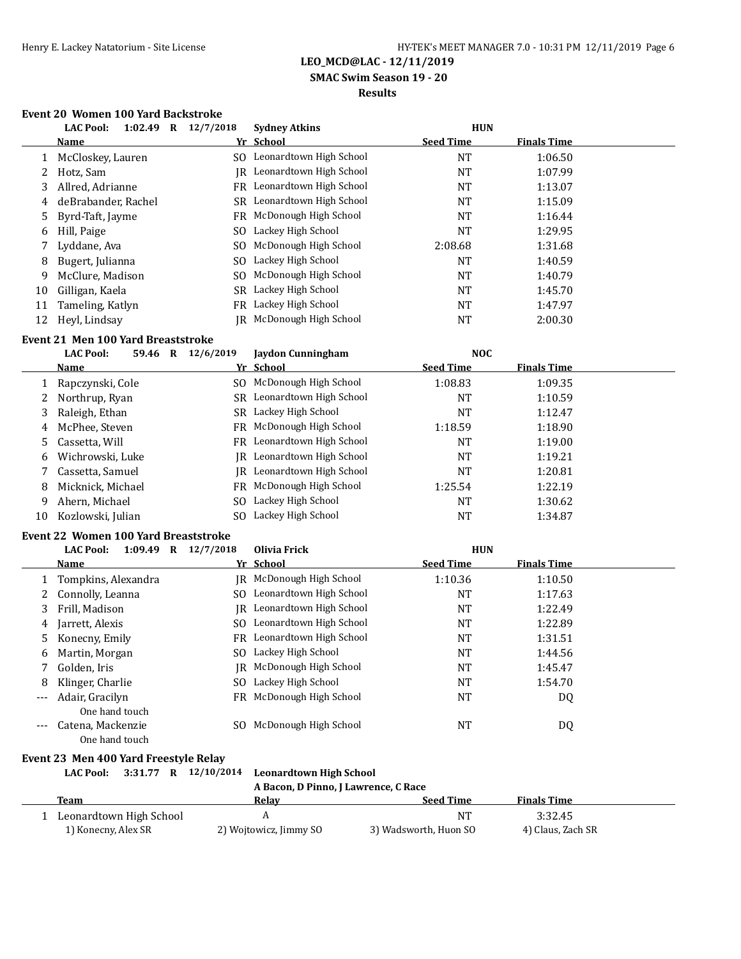## **SMAC Swim Season 19 - 20**

## **Results**

## **Event 20 Women 100 Yard Backstroke**

|    | 1:02.49<br><b>LAC Pool:</b><br>$\bf{R}$ | 12/7/2018 | <b>Sydney Atkins</b>       | <b>HUN</b>       |                    |  |
|----|-----------------------------------------|-----------|----------------------------|------------------|--------------------|--|
|    | <b>Name</b>                             |           | Yr School                  | <b>Seed Time</b> | <b>Finals Time</b> |  |
|    | McCloskey, Lauren                       |           | SO Leonardtown High School | NT               | 1:06.50            |  |
|    | Hotz, Sam                               | IR        | Leonardtown High School    | NT               | 1:07.99            |  |
| 3  | Allred, Adrianne                        |           | FR Leonardtown High School | NT               | 1:13.07            |  |
| 4  | deBrabander, Rachel                     | SR        | Leonardtown High School    | NT               | 1:15.09            |  |
| 5. | Byrd-Taft, Jayme                        | FR.       | McDonough High School      | NT               | 1:16.44            |  |
| 6  | Hill, Paige                             | SO.       | Lackey High School         | NT               | 1:29.95            |  |
|    | Lyddane, Ava                            | SO.       | McDonough High School      | 2:08.68          | 1:31.68            |  |
| 8  | Bugert, Julianna                        | SO.       | Lackey High School         | NT               | 1:40.59            |  |
| 9  | McClure, Madison                        | SO.       | McDonough High School      | NT               | 1:40.79            |  |
| 10 | Gilligan, Kaela                         | SR        | Lackey High School         | NT               | 1:45.70            |  |
| 11 | Tameling, Katlyn                        | FR        | Lackey High School         | NT               | 1:47.97            |  |
| 12 | Heyl, Lindsay                           | IR-       | McDonough High School      | NT               | 2:00.30            |  |

### **Event 21 Men 100 Yard Breaststroke**

|    | wencer wen roo iaru bitasen ont |         |           |                            |                  |                    |  |
|----|---------------------------------|---------|-----------|----------------------------|------------------|--------------------|--|
|    | <b>LAC Pool:</b>                | 59.46 R | 12/6/2019 | <b>Jaydon Cunningham</b>   | <b>NOC</b>       |                    |  |
|    | <b>Name</b>                     |         |           | Yr School                  | <b>Seed Time</b> | <b>Finals Time</b> |  |
|    | Rapczynski, Cole                |         | SO.       | McDonough High School      | 1:08.83          | 1:09.35            |  |
|    | Northrup, Ryan                  |         | SR.       | Leonardtown High School    | NT               | 1:10.59            |  |
|    | Raleigh, Ethan                  |         | SR        | Lackey High School         | <b>NT</b>        | 1:12.47            |  |
| 4  | McPhee, Steven                  |         |           | FR McDonough High School   | 1:18.59          | 1:18.90            |  |
|    | Cassetta, Will                  |         |           | FR Leonardtown High School | NT               | 1:19.00            |  |
| 6  | Wichrowski, Luke                |         | IR        | Leonardtown High School    | <b>NT</b>        | 1:19.21            |  |
|    | Cassetta, Samuel                |         | IR        | Leonardtown High School    | <b>NT</b>        | 1:20.81            |  |
| 8  | Micknick, Michael               |         | FR        | McDonough High School      | 1:25.54          | 1:22.19            |  |
| 9  | Ahern, Michael                  |         | SO.       | Lackey High School         | <b>NT</b>        | 1:30.62            |  |
| 10 | Kozlowski, Julian               |         | SO.       | Lackey High School         | NT               | 1:34.87            |  |

#### **Event 22 Women 100 Yard Breaststroke**

|       | <b>LAC Pool:</b><br>1:09.49<br>R | 12/7/2018 | Olivia Frick               | <b>HUN</b>       |                    |  |
|-------|----------------------------------|-----------|----------------------------|------------------|--------------------|--|
|       | Name                             |           | Yr School                  | <b>Seed Time</b> | <b>Finals Time</b> |  |
|       | Tompkins, Alexandra              |           | IR McDonough High School   | 1:10.36          | 1:10.50            |  |
|       | Connolly, Leanna                 | SO.       | Leonardtown High School    | NT               | 1:17.63            |  |
| 3     | Frill, Madison                   |           | IR Leonardtown High School | NT               | 1:22.49            |  |
| 4     | Jarrett, Alexis                  |           | SO Leonardtown High School | NT               | 1:22.89            |  |
| 5     | Konecny, Emily                   |           | FR Leonardtown High School | NT               | 1:31.51            |  |
| 6.    | Martin, Morgan                   |           | SO Lackey High School      | <b>NT</b>        | 1:44.56            |  |
|       | Golden, Iris                     |           | IR McDonough High School   | NT               | 1:45.47            |  |
| 8     | Klinger, Charlie                 | SO.       | Lackey High School         | <b>NT</b>        | 1:54.70            |  |
| $---$ | Adair, Gracilyn                  |           | FR McDonough High School   | NT               | DQ                 |  |
|       | One hand touch                   |           |                            |                  |                    |  |
| ---   | Catena, Mackenzie                | SO.       | McDonough High School      | NT               | DQ                 |  |
|       | One hand touch                   |           |                            |                  |                    |  |

## **Event 23 Men 400 Yard Freestyle Relay**

**LAC Pool: 3:31.77 R 12/10/2014 Leonardtown High School**

**A Bacon, D Pinno, J Lawrence, C Race**

| Team                    | Relav                  | Seed Time             | <b>Finals Time</b> |  |
|-------------------------|------------------------|-----------------------|--------------------|--|
| Leonardtown High School |                        | $N^{\tau}$            | 3:32.45            |  |
| 1) Konecny, Alex SR     | 2) Wojtowicz, Jimmy SO | 3) Wadsworth, Huon SO | 4) Claus, Zach SR  |  |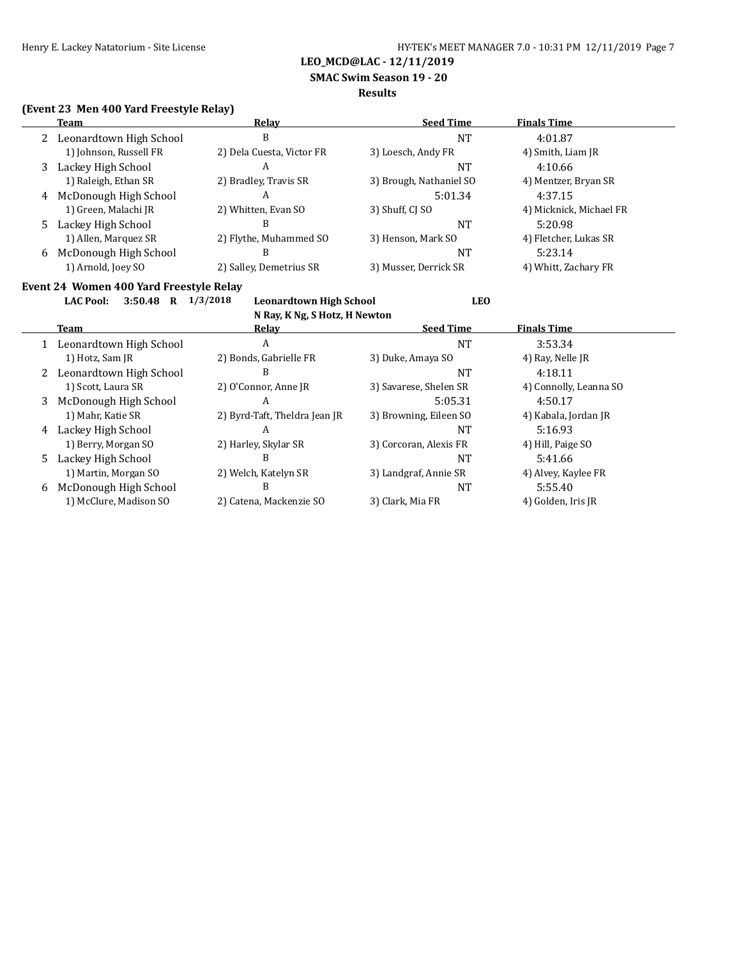**SMAC Swim Season 19 - 20**

#### **Results**

## **(Event 23 Men 400 Yard Freestyle Relay)**

|   | Team                                    | Relay                     | <b>Seed Time</b>        | <b>Finals Time</b>      |
|---|-----------------------------------------|---------------------------|-------------------------|-------------------------|
|   | 2 Leonardtown High School               | B                         | NT                      | 4:01.87                 |
|   | 1) Johnson, Russell FR                  | 2) Dela Cuesta, Victor FR | 3) Loesch, Andy FR      | 4) Smith, Liam JR       |
| 3 | Lackey High School                      | A                         | NT                      | 4:10.66                 |
|   | 1) Raleigh, Ethan SR                    | 2) Bradley, Travis SR     | 3) Brough, Nathaniel SO | 4) Mentzer, Bryan SR    |
| 4 | McDonough High School                   | A                         | 5:01.34                 | 4:37.15                 |
|   | 1) Green, Malachi JR                    | 2) Whitten, Evan SO       | 3) Shuff, CI SO         | 4) Micknick, Michael FR |
| 5 | Lackey High School                      | B                         | NT                      | 5:20.98                 |
|   | 1) Allen, Marquez SR                    | 2) Flythe, Muhammed SO    | 3) Henson, Mark SO      | 4) Fletcher, Lukas SR   |
| 6 | McDonough High School                   | B                         | NT                      | 5:23.14                 |
|   | 1) Arnold, Joey SO                      | 2) Salley, Demetrius SR   | 3) Musser, Derrick SR   | 4) Whitt, Zachary FR    |
|   | Event 24 Women 400 Vard Ereestyle Relay |                           |                         |                         |

# **Event 24 Women 400 Yard Freestyle Relay**

**LAC Pool: 3:50.48 R 1/3/2018 Leonardtown High School LEO N Ray, K Ng, S Hotz, H Newton**

|   | $\mathbf{R}$ $\mathbf{R}$ $\mathbf{R}$ $\mathbf{R}$ $\mathbf{R}$ $\mathbf{R}$ $\mathbf{S}$ $\mathbf{R}$ $\mathbf{R}$ $\mathbf{R}$ $\mathbf{R}$ $\mathbf{R}$ $\mathbf{R}$ $\mathbf{R}$ |                               |                        |                        |  |  |  |
|---|---------------------------------------------------------------------------------------------------------------------------------------------------------------------------------------|-------------------------------|------------------------|------------------------|--|--|--|
|   | Team                                                                                                                                                                                  | Relav                         | <b>Seed Time</b>       | <b>Finals Time</b>     |  |  |  |
| 1 | Leonardtown High School                                                                                                                                                               | A                             | NT                     | 3:53.34                |  |  |  |
|   | 1) Hotz, Sam JR                                                                                                                                                                       | 2) Bonds, Gabrielle FR        | 3) Duke, Amaya SO      | 4) Ray, Nelle JR       |  |  |  |
| 2 | Leonardtown High School                                                                                                                                                               | B                             | NT                     | 4:18.11                |  |  |  |
|   | 1) Scott, Laura SR                                                                                                                                                                    | 2) O'Connor, Anne JR          | 3) Savarese, Shelen SR | 4) Connolly, Leanna SO |  |  |  |
| 3 | McDonough High School                                                                                                                                                                 | A                             | 5:05.31                | 4:50.17                |  |  |  |
|   | 1) Mahr, Katie SR                                                                                                                                                                     | 2) Byrd-Taft, Theldra Jean JR | 3) Browning, Eileen SO | 4) Kabala, Jordan JR   |  |  |  |
| 4 | Lackey High School                                                                                                                                                                    | A                             | NT                     | 5:16.93                |  |  |  |
|   | 1) Berry, Morgan SO                                                                                                                                                                   | 2) Harley, Skylar SR          | 3) Corcoran, Alexis FR | 4) Hill, Paige SO      |  |  |  |
| 5 | Lackey High School                                                                                                                                                                    | B                             | NT                     | 5:41.66                |  |  |  |
|   | 1) Martin, Morgan SO                                                                                                                                                                  | 2) Welch, Katelyn SR          | 3) Landgraf, Annie SR  | 4) Alvey, Kaylee FR    |  |  |  |
| 6 | McDonough High School                                                                                                                                                                 | B                             | NT                     | 5:55.40                |  |  |  |
|   | 1) McClure, Madison SO                                                                                                                                                                | 2) Catena, Mackenzie SO       | 3) Clark, Mia FR       | 4) Golden, Iris JR     |  |  |  |